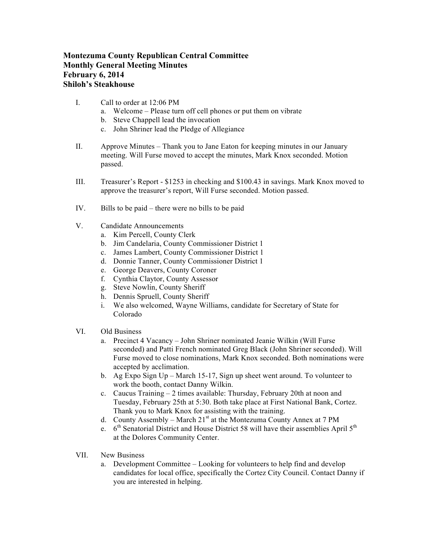## **Montezuma County Republican Central Committee Monthly General Meeting Minutes February 6, 2014 Shiloh's Steakhouse**

- I. Call to order at 12:06 PM
	- a. Welcome Please turn off cell phones or put them on vibrate
	- b. Steve Chappell lead the invocation
	- c. John Shriner lead the Pledge of Allegiance
- II. Approve Minutes Thank you to Jane Eaton for keeping minutes in our January meeting. Will Furse moved to accept the minutes, Mark Knox seconded. Motion passed.
- III. Treasurer's Report \$1253 in checking and \$100.43 in savings. Mark Knox moved to approve the treasurer's report, Will Furse seconded. Motion passed.
- IV. Bills to be paid there were no bills to be paid
- V. Candidate Announcements
	- a. Kim Percell, County Clerk
	- b. Jim Candelaria, County Commissioner District 1
	- c. James Lambert, County Commissioner District 1
	- d. Donnie Tanner, County Commissioner District 1
	- e. George Deavers, County Coroner
	- f. Cynthia Claytor, County Assessor
	- g. Steve Nowlin, County Sheriff
	- h. Dennis Spruell, County Sheriff
	- i. We also welcomed, Wayne Williams, candidate for Secretary of State for Colorado
- VI. Old Business
	- a. Precinct 4 Vacancy John Shriner nominated Jeanie Wilkin (Will Furse seconded) and Patti French nominated Greg Black (John Shriner seconded). Will Furse moved to close nominations, Mark Knox seconded. Both nominations were accepted by acclimation.
	- b. Ag Expo Sign Up March 15-17, Sign up sheet went around. To volunteer to work the booth, contact Danny Wilkin.
	- c. Caucus Training 2 times available: Thursday, February 20th at noon and Tuesday, February 25th at 5:30. Both take place at First National Bank, Cortez. Thank you to Mark Knox for assisting with the training.
	- d. County Assembly March  $21<sup>st</sup>$  at the Montezuma County Annex at 7 PM
	- e.  $6<sup>th</sup>$  Senatorial District and House District 58 will have their assemblies April  $5<sup>th</sup>$ at the Dolores Community Center.
- VII. New Business
	- a. Development Committee Looking for volunteers to help find and develop candidates for local office, specifically the Cortez City Council. Contact Danny if you are interested in helping.